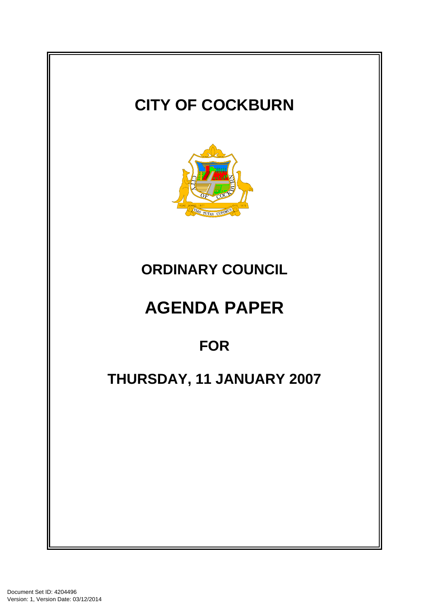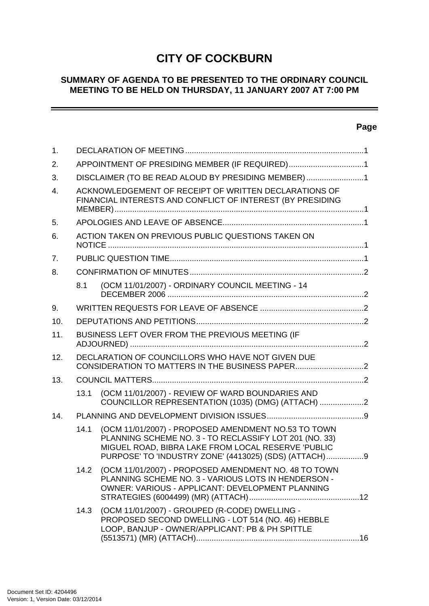# **CITY OF COCKBURN**

# **SUMMARY OF AGENDA TO BE PRESENTED TO THE ORDINARY COUNCIL MEETING TO BE HELD ON THURSDAY, 11 JANUARY 2007 AT 7:00 PM**

# **Page**

-

| $\mathbf{1}$ . |                                                   |                                                                                                                                                                                                                              |  |  |  |  |
|----------------|---------------------------------------------------|------------------------------------------------------------------------------------------------------------------------------------------------------------------------------------------------------------------------------|--|--|--|--|
| 2.             | APPOINTMENT OF PRESIDING MEMBER (IF REQUIRED)1    |                                                                                                                                                                                                                              |  |  |  |  |
| 3.             |                                                   | DISCLAIMER (TO BE READ ALOUD BY PRESIDING MEMBER) 1                                                                                                                                                                          |  |  |  |  |
| 4.             |                                                   | ACKNOWLEDGEMENT OF RECEIPT OF WRITTEN DECLARATIONS OF<br>FINANCIAL INTERESTS AND CONFLICT OF INTEREST (BY PRESIDING                                                                                                          |  |  |  |  |
| 5.             |                                                   |                                                                                                                                                                                                                              |  |  |  |  |
| 6.             |                                                   | ACTION TAKEN ON PREVIOUS PUBLIC QUESTIONS TAKEN ON                                                                                                                                                                           |  |  |  |  |
| 7.             |                                                   |                                                                                                                                                                                                                              |  |  |  |  |
| 8.             |                                                   |                                                                                                                                                                                                                              |  |  |  |  |
|                | 8.1                                               | (OCM 11/01/2007) - ORDINARY COUNCIL MEETING - 14                                                                                                                                                                             |  |  |  |  |
| 9.             |                                                   |                                                                                                                                                                                                                              |  |  |  |  |
| 10.            |                                                   |                                                                                                                                                                                                                              |  |  |  |  |
| 11.            | BUSINESS LEFT OVER FROM THE PREVIOUS MEETING (IF  |                                                                                                                                                                                                                              |  |  |  |  |
| 12.            | DECLARATION OF COUNCILLORS WHO HAVE NOT GIVEN DUE |                                                                                                                                                                                                                              |  |  |  |  |
| 13.            |                                                   |                                                                                                                                                                                                                              |  |  |  |  |
|                | 13.1                                              | (OCM 11/01/2007) - REVIEW OF WARD BOUNDARIES AND<br>COUNCILLOR REPRESENTATION (1035) (DMG) (ATTACH) 2                                                                                                                        |  |  |  |  |
| 14.            |                                                   |                                                                                                                                                                                                                              |  |  |  |  |
|                | 14.1                                              | (OCM 11/01/2007) - PROPOSED AMENDMENT NO.53 TO TOWN<br>PLANNING SCHEME NO. 3 - TO RECLASSIFY LOT 201 (NO. 33)<br>MIGUEL ROAD, BIBRA LAKE FROM LOCAL RESERVE 'PUBLIC<br>PURPOSE' TO 'INDUSTRY ZONE' (4413025) (SDS) (ATTACH)9 |  |  |  |  |
|                | 14.2                                              | (OCM 11/01/2007) - PROPOSED AMENDMENT NO. 48 TO TOWN<br>PLANNING SCHEME NO. 3 - VARIOUS LOTS IN HENDERSON -<br>OWNER: VARIOUS - APPLICANT: DEVELOPMENT PLANNING                                                              |  |  |  |  |
|                | 14.3                                              | (OCM 11/01/2007) - GROUPED (R-CODE) DWELLING -<br>PROPOSED SECOND DWELLING - LOT 514 (NO. 46) HEBBLE<br>LOOP, BANJUP - OWNER/APPLICANT: PB & PH SPITTLE                                                                      |  |  |  |  |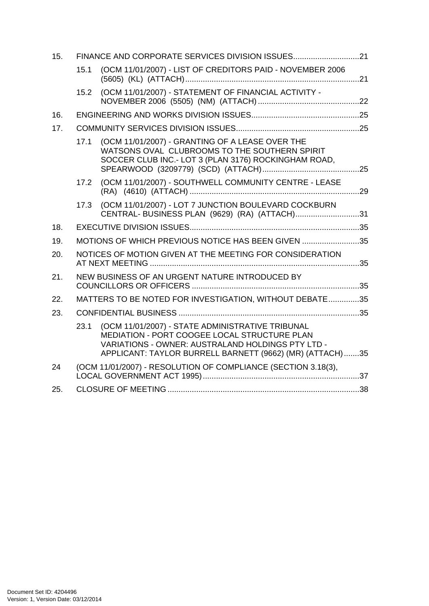| 15. |                                                               | FINANCE AND CORPORATE SERVICES DIVISION ISSUES21                                                                                                                                                                  |  |
|-----|---------------------------------------------------------------|-------------------------------------------------------------------------------------------------------------------------------------------------------------------------------------------------------------------|--|
|     | 15.1                                                          | (OCM 11/01/2007) - LIST OF CREDITORS PAID - NOVEMBER 2006                                                                                                                                                         |  |
|     |                                                               | 15.2 (OCM 11/01/2007) - STATEMENT OF FINANCIAL ACTIVITY -                                                                                                                                                         |  |
| 16. |                                                               |                                                                                                                                                                                                                   |  |
| 17. |                                                               |                                                                                                                                                                                                                   |  |
|     | 17.1                                                          | (OCM 11/01/2007) - GRANTING OF A LEASE OVER THE<br>WATSONS OVAL CLUBROOMS TO THE SOUTHERN SPIRIT<br>SOCCER CLUB INC.- LOT 3 (PLAN 3176) ROCKINGHAM ROAD,                                                          |  |
|     | 17.2                                                          | (OCM 11/01/2007) - SOUTHWELL COMMUNITY CENTRE - LEASE                                                                                                                                                             |  |
|     | 17.3                                                          | (OCM 11/01/2007) - LOT 7 JUNCTION BOULEVARD COCKBURN<br>CENTRAL- BUSINESS PLAN (9629) (RA) (ATTACH)31                                                                                                             |  |
| 18. |                                                               |                                                                                                                                                                                                                   |  |
| 19. |                                                               | MOTIONS OF WHICH PREVIOUS NOTICE HAS BEEN GIVEN 35                                                                                                                                                                |  |
| 20. |                                                               | NOTICES OF MOTION GIVEN AT THE MEETING FOR CONSIDERATION                                                                                                                                                          |  |
| 21. |                                                               | NEW BUSINESS OF AN URGENT NATURE INTRODUCED BY                                                                                                                                                                    |  |
| 22. |                                                               | MATTERS TO BE NOTED FOR INVESTIGATION, WITHOUT DEBATE35                                                                                                                                                           |  |
| 23. |                                                               |                                                                                                                                                                                                                   |  |
|     | 23.1                                                          | (OCM 11/01/2007) - STATE ADMINISTRATIVE TRIBUNAL<br>MEDIATION - PORT COOGEE LOCAL STRUCTURE PLAN<br>VARIATIONS - OWNER: AUSTRALAND HOLDINGS PTY LTD -<br>APPLICANT: TAYLOR BURRELL BARNETT (9662) (MR) (ATTACH)35 |  |
| 24  | (OCM 11/01/2007) - RESOLUTION OF COMPLIANCE (SECTION 3.18(3), |                                                                                                                                                                                                                   |  |
| 25. |                                                               |                                                                                                                                                                                                                   |  |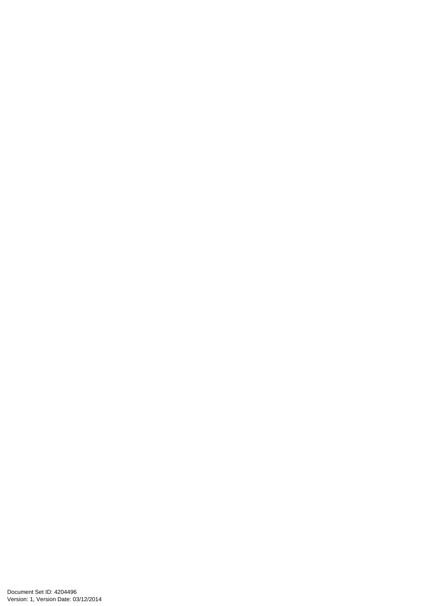Document Set ID: 4204496<br>Version: 1, Version Date: 03/12/2014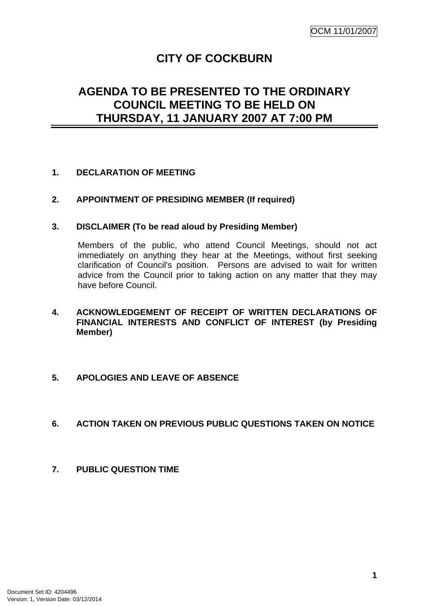# **CITY OF COCKBURN**

# <span id="page-4-0"></span>**AGENDA TO BE PRESENTED TO THE ORDINARY COUNCIL MEETING TO BE HELD ON THURSDAY, 11 JANUARY 2007 AT 7:00 PM**

# **1. DECLARATION OF MEETING**

# **2. APPOINTMENT OF PRESIDING MEMBER (If required)**

#### **3. DISCLAIMER (To be read aloud by Presiding Member)**

Members of the public, who attend Council Meetings, should not act immediately on anything they hear at the Meetings, without first seeking clarification of Council's position. Persons are advised to wait for written advice from the Council prior to taking action on any matter that they may have before Council.

# **4. ACKNOWLEDGEMENT OF RECEIPT OF WRITTEN DECLARATIONS OF FINANCIAL INTERESTS AND CONFLICT OF INTEREST (by Presiding Member)**

#### **5. APOLOGIES AND LEAVE OF ABSENCE**

#### **6. ACTION TAKEN ON PREVIOUS PUBLIC QUESTIONS TAKEN ON NOTICE**

**7. PUBLIC QUESTION TIME**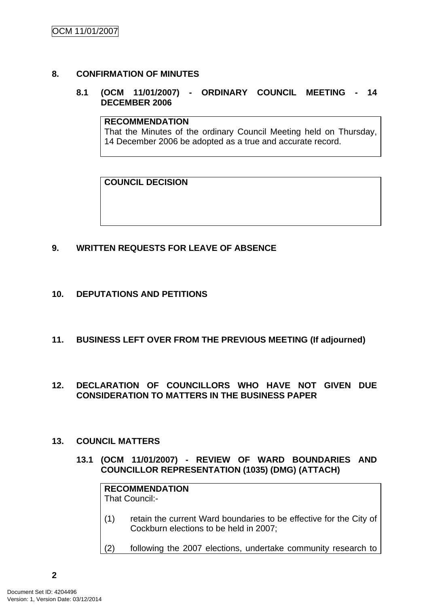# <span id="page-5-0"></span>**8. CONFIRMATION OF MINUTES**

# **8.1 (OCM 11/01/2007) - ORDINARY COUNCIL MEETING - 14 DECEMBER 2006**

#### **RECOMMENDATION**

That the Minutes of the ordinary Council Meeting held on Thursday, 14 December 2006 be adopted as a true and accurate record.

**COUNCIL DECISION**

# **9. WRITTEN REQUESTS FOR LEAVE OF ABSENCE**

# **10. DEPUTATIONS AND PETITIONS**

#### **11. BUSINESS LEFT OVER FROM THE PREVIOUS MEETING (If adjourned)**

# **12. DECLARATION OF COUNCILLORS WHO HAVE NOT GIVEN DUE CONSIDERATION TO MATTERS IN THE BUSINESS PAPER**

#### **13. COUNCIL MATTERS**

**13.1 (OCM 11/01/2007) - REVIEW OF WARD BOUNDARIES AND COUNCILLOR REPRESENTATION (1035) (DMG) (ATTACH)** 

# **RECOMMENDATION**

That Council:-

- (1) retain the current Ward boundaries to be effective for the City of Cockburn elections to be held in 2007;
- (2) following the 2007 elections, undertake community research to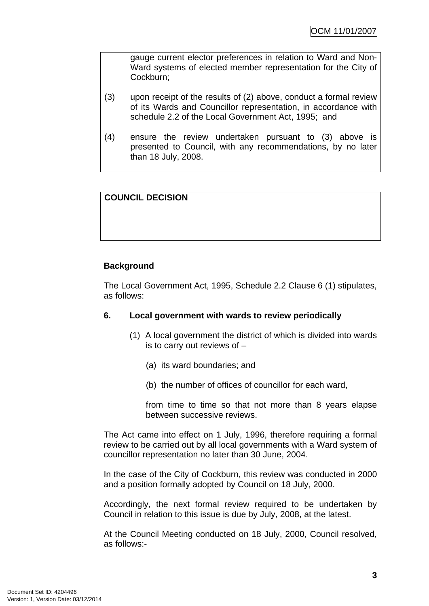gauge current elector preferences in relation to Ward and Non-Ward systems of elected member representation for the City of Cockburn;

- (3) upon receipt of the results of (2) above, conduct a formal review of its Wards and Councillor representation, in accordance with schedule 2.2 of the Local Government Act, 1995; and
- (4) ensure the review undertaken pursuant to (3) above is presented to Council, with any recommendations, by no later than 18 July, 2008.

# **COUNCIL DECISION**

#### **Background**

The Local Government Act, 1995, Schedule 2.2 Clause 6 (1) stipulates, as follows:

#### **6. Local government with wards to review periodically**

- (1) A local government the district of which is divided into wards is to carry out reviews of –
	- (a) its ward boundaries; and
	- (b) the number of offices of councillor for each ward,

from time to time so that not more than 8 years elapse between successive reviews.

The Act came into effect on 1 July, 1996, therefore requiring a formal review to be carried out by all local governments with a Ward system of councillor representation no later than 30 June, 2004.

In the case of the City of Cockburn, this review was conducted in 2000 and a position formally adopted by Council on 18 July, 2000.

Accordingly, the next formal review required to be undertaken by Council in relation to this issue is due by July, 2008, at the latest.

At the Council Meeting conducted on 18 July, 2000, Council resolved, as follows:-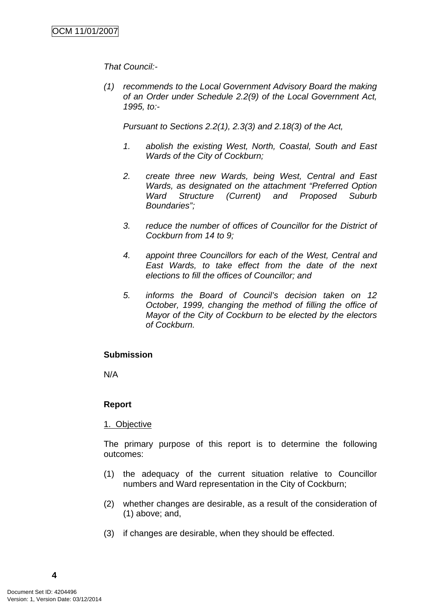#### *That Council:-*

*(1) recommends to the Local Government Advisory Board the making of an Order under Schedule 2.2(9) of the Local Government Act, 1995, to:-* 

 *Pursuant to Sections 2.2(1), 2.3(3) and 2.18(3) of the Act,* 

- *1. abolish the existing West, North, Coastal, South and East Wards of the City of Cockburn;*
- *2. create three new Wards, being West, Central and East Wards, as designated on the attachment "Preferred Option Ward Structure (Current) and Proposed Suburb Boundaries";*
- *3. reduce the number of offices of Councillor for the District of Cockburn from 14 to 9;*
- *4. appoint three Councillors for each of the West, Central and East Wards, to take effect from the date of the next elections to fill the offices of Councillor; and*
- *5. informs the Board of Council's decision taken on 12 October, 1999, changing the method of filling the office of Mayor of the City of Cockburn to be elected by the electors of Cockburn.*

#### **Submission**

N/A

# **Report**

#### 1. Objective

The primary purpose of this report is to determine the following outcomes:

- (1) the adequacy of the current situation relative to Councillor numbers and Ward representation in the City of Cockburn;
- (2) whether changes are desirable, as a result of the consideration of (1) above; and,
- (3) if changes are desirable, when they should be effected.

**4**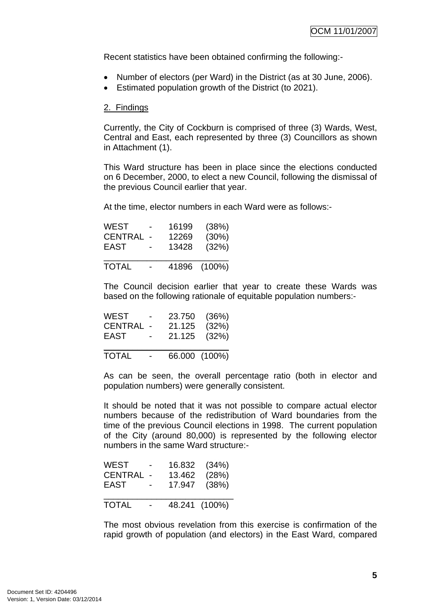Recent statistics have been obtained confirming the following:-

- Number of electors (per Ward) in the District (as at 30 June, 2006).
- Estimated population growth of the District (to 2021).

#### 2. Findings

Currently, the City of Cockburn is comprised of three (3) Wards, West, Central and East, each represented by three (3) Councillors as shown in Attachment (1).

This Ward structure has been in place since the elections conducted on 6 December, 2000, to elect a new Council, following the dismissal of the previous Council earlier that year.

At the time, elector numbers in each Ward were as follows:-

| WEST         | 16199 | (38%)        |
|--------------|-------|--------------|
| CENTRAL -    | 12269 | (30%)        |
| <b>EAST</b>  | 13428 | (32%)        |
| <b>TOTAL</b> |       | 41896 (100%) |

The Council decision earlier that year to create these Wards was based on the following rationale of equitable population numbers:-

| <b>WEST</b>  | 23.750 | (36%)         |
|--------------|--------|---------------|
| CENTRAL -    | 21.125 | (32%)         |
| EAST         |        | 21.125 (32%)  |
|              |        |               |
| <b>TOTAL</b> |        | 66.000 (100%) |

As can be seen, the overall percentage ratio (both in elector and population numbers) were generally consistent.

It should be noted that it was not possible to compare actual elector numbers because of the redistribution of Ward boundaries from the time of the previous Council elections in 1998. The current population of the City (around 80,000) is represented by the following elector numbers in the same Ward structure:-

| <b>WEST</b>  | $\blacksquare$           |        | 16.832 (34%)  |
|--------------|--------------------------|--------|---------------|
| CENTRAL -    |                          | 13.462 | (28%)         |
| EAST         | $\overline{\phantom{0}}$ |        | 17.947 (38%)  |
| <b>TOTAL</b> |                          |        | 48.241 (100%) |

The most obvious revelation from this exercise is confirmation of the rapid growth of population (and electors) in the East Ward, compared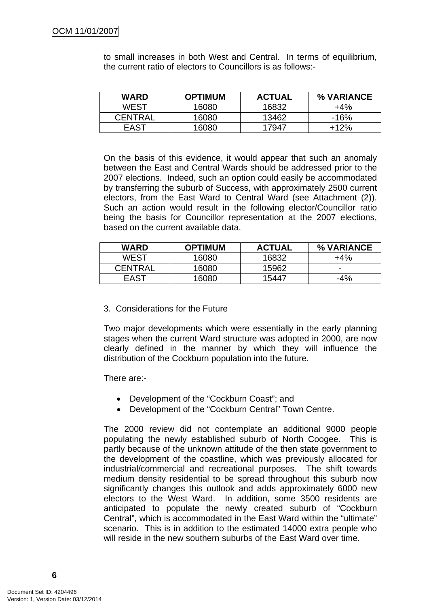to small increases in both West and Central. In terms of equilibrium, the current ratio of electors to Councillors is as follows:-

| <b>WARD</b> | <b>OPTIMUM</b> | <b>ACTUAL</b> | % VARIANCE |
|-------------|----------------|---------------|------------|
| <b>WEST</b> | 16080          | 16832         | +4%        |
| CENTRAL     | 16080          | 13462         | $-16%$     |
| EAST        | 16080          | 17947         | $+12%$     |

On the basis of this evidence, it would appear that such an anomaly between the East and Central Wards should be addressed prior to the 2007 elections. Indeed, such an option could easily be accommodated by transferring the suburb of Success, with approximately 2500 current electors, from the East Ward to Central Ward (see Attachment (2)). Such an action would result in the following elector/Councillor ratio being the basis for Councillor representation at the 2007 elections, based on the current available data.

| <b>WARD</b> | <b>OPTIMUM</b> | <b>ACTUAL</b> | % VARIANCE               |
|-------------|----------------|---------------|--------------------------|
| WEST        | 16080          | 16832         | +4%                      |
| CENTRAL     | 16080          | 15962         | $\overline{\phantom{0}}$ |
| <b>EAST</b> | 16080          | 15447         | -4%                      |

#### 3. Considerations for the Future

Two major developments which were essentially in the early planning stages when the current Ward structure was adopted in 2000, are now clearly defined in the manner by which they will influence the distribution of the Cockburn population into the future.

There are:-

- Development of the "Cockburn Coast"; and
- Development of the "Cockburn Central" Town Centre.

The 2000 review did not contemplate an additional 9000 people populating the newly established suburb of North Coogee. This is partly because of the unknown attitude of the then state government to the development of the coastline, which was previously allocated for industrial/commercial and recreational purposes. The shift towards medium density residential to be spread throughout this suburb now significantly changes this outlook and adds approximately 6000 new electors to the West Ward. In addition, some 3500 residents are anticipated to populate the newly created suburb of "Cockburn Central", which is accommodated in the East Ward within the "ultimate" scenario. This is in addition to the estimated 14000 extra people who will reside in the new southern suburbs of the East Ward over time.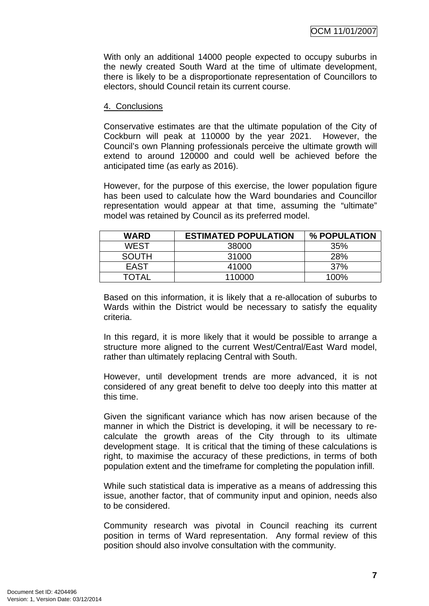With only an additional 14000 people expected to occupy suburbs in the newly created South Ward at the time of ultimate development, there is likely to be a disproportionate representation of Councillors to electors, should Council retain its current course.

#### 4. Conclusions

Conservative estimates are that the ultimate population of the City of Cockburn will peak at 110000 by the year 2021. However, the Council's own Planning professionals perceive the ultimate growth will extend to around 120000 and could well be achieved before the anticipated time (as early as 2016).

However, for the purpose of this exercise, the lower population figure has been used to calculate how the Ward boundaries and Councillor representation would appear at that time, assuming the "ultimate" model was retained by Council as its preferred model.

| <b>WARD</b>  | <b>ESTIMATED POPULATION</b> | % POPULATION |
|--------------|-----------------------------|--------------|
| <b>WEST</b>  | 38000                       | 35%          |
| <b>SOUTH</b> | 31000                       | <b>28%</b>   |
| <b>EAST</b>  | 41000                       | <b>37%</b>   |
| TOTAL        | 110000                      | 100%         |

Based on this information, it is likely that a re-allocation of suburbs to Wards within the District would be necessary to satisfy the equality criteria.

In this regard, it is more likely that it would be possible to arrange a structure more aligned to the current West/Central/East Ward model, rather than ultimately replacing Central with South.

However, until development trends are more advanced, it is not considered of any great benefit to delve too deeply into this matter at this time.

Given the significant variance which has now arisen because of the manner in which the District is developing, it will be necessary to recalculate the growth areas of the City through to its ultimate development stage. It is critical that the timing of these calculations is right, to maximise the accuracy of these predictions, in terms of both population extent and the timeframe for completing the population infill.

While such statistical data is imperative as a means of addressing this issue, another factor, that of community input and opinion, needs also to be considered.

Community research was pivotal in Council reaching its current position in terms of Ward representation. Any formal review of this position should also involve consultation with the community.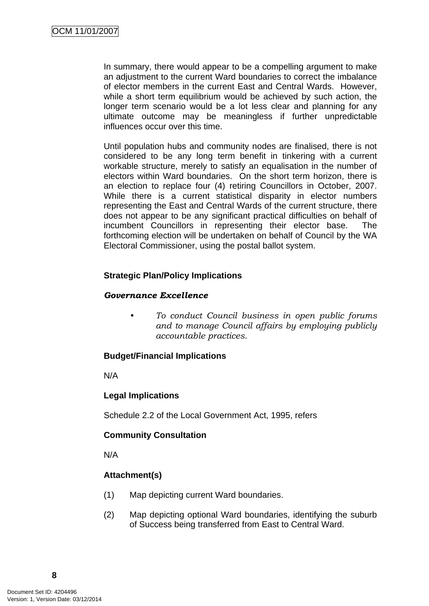In summary, there would appear to be a compelling argument to make an adjustment to the current Ward boundaries to correct the imbalance of elector members in the current East and Central Wards. However, while a short term equilibrium would be achieved by such action, the longer term scenario would be a lot less clear and planning for any ultimate outcome may be meaningless if further unpredictable influences occur over this time.

Until population hubs and community nodes are finalised, there is not considered to be any long term benefit in tinkering with a current workable structure, merely to satisfy an equalisation in the number of electors within Ward boundaries. On the short term horizon, there is an election to replace four (4) retiring Councillors in October, 2007. While there is a current statistical disparity in elector numbers representing the East and Central Wards of the current structure, there does not appear to be any significant practical difficulties on behalf of incumbent Councillors in representing their elector base. The forthcoming election will be undertaken on behalf of Council by the WA Electoral Commissioner, using the postal ballot system.

# **Strategic Plan/Policy Implications**

# *Governance Excellence*

*• To conduct Council business in open public forums and to manage Council affairs by employing publicly accountable practices.* 

# **Budget/Financial Implications**

N/A

# **Legal Implications**

Schedule 2.2 of the Local Government Act, 1995, refers

# **Community Consultation**

N/A

# **Attachment(s)**

- (1) Map depicting current Ward boundaries.
- (2) Map depicting optional Ward boundaries, identifying the suburb of Success being transferred from East to Central Ward.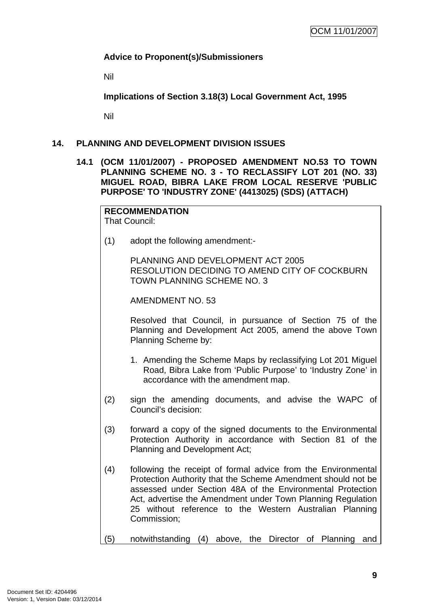#### <span id="page-12-0"></span>**Advice to Proponent(s)/Submissioners**

Nil

**Implications of Section 3.18(3) Local Government Act, 1995**

Nil

#### **14. PLANNING AND DEVELOPMENT DIVISION ISSUES**

**14.1 (OCM 11/01/2007) - PROPOSED AMENDMENT NO.53 TO TOWN PLANNING SCHEME NO. 3 - TO RECLASSIFY LOT 201 (NO. 33) MIGUEL ROAD, BIBRA LAKE FROM LOCAL RESERVE 'PUBLIC PURPOSE' TO 'INDUSTRY ZONE' (4413025) (SDS) (ATTACH)** 

# **RECOMMENDATION**

That Council:

(1) adopt the following amendment:-

PLANNING AND DEVELOPMENT ACT 2005 RESOLUTION DECIDING TO AMEND CITY OF COCKBURN TOWN PLANNING SCHEME NO. 3

AMENDMENT NO. 53

Resolved that Council, in pursuance of Section 75 of the Planning and Development Act 2005, amend the above Town Planning Scheme by:

- 1. Amending the Scheme Maps by reclassifying Lot 201 Miguel Road, Bibra Lake from 'Public Purpose' to 'Industry Zone' in accordance with the amendment map.
- (2) sign the amending documents, and advise the WAPC of Council's decision:
- (3) forward a copy of the signed documents to the Environmental Protection Authority in accordance with Section 81 of the Planning and Development Act;
- (4) following the receipt of formal advice from the Environmental Protection Authority that the Scheme Amendment should not be assessed under Section 48A of the Environmental Protection Act, advertise the Amendment under Town Planning Regulation 25 without reference to the Western Australian Planning Commission;
- (5) notwithstanding (4) above, the Director of Planning and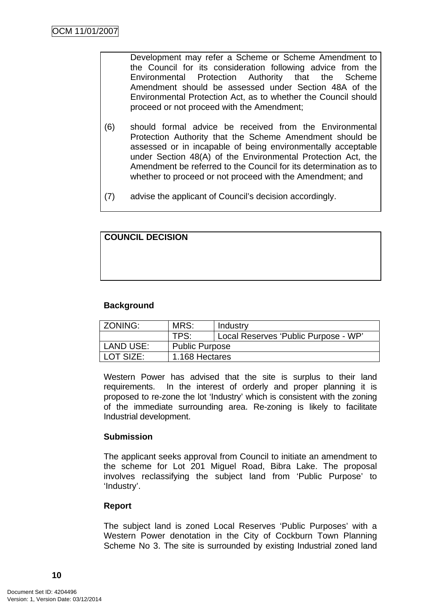Development may refer a Scheme or Scheme Amendment to the Council for its consideration following advice from the Environmental Protection Authority that the Scheme Amendment should be assessed under Section 48A of the Environmental Protection Act, as to whether the Council should proceed or not proceed with the Amendment;

- (6) should formal advice be received from the Environmental Protection Authority that the Scheme Amendment should be assessed or in incapable of being environmentally acceptable under Section 48(A) of the Environmental Protection Act, the Amendment be referred to the Council for its determination as to whether to proceed or not proceed with the Amendment; and
- (7) advise the applicant of Council's decision accordingly.

# **COUNCIL DECISION**

# **Background**

| ZONING:   | MRS:                  | Industry                             |  |
|-----------|-----------------------|--------------------------------------|--|
|           | TPS:                  | Local Reserves 'Public Purpose - WP' |  |
| LAND USE: | <b>Public Purpose</b> |                                      |  |
| LOT SIZE: | 1.168 Hectares        |                                      |  |

Western Power has advised that the site is surplus to their land requirements. In the interest of orderly and proper planning it is proposed to re-zone the lot 'Industry' which is consistent with the zoning of the immediate surrounding area. Re-zoning is likely to facilitate Industrial development.

#### **Submission**

The applicant seeks approval from Council to initiate an amendment to the scheme for Lot 201 Miguel Road, Bibra Lake. The proposal involves reclassifying the subject land from 'Public Purpose' to 'Industry'.

#### **Report**

The subject land is zoned Local Reserves 'Public Purposes' with a Western Power denotation in the City of Cockburn Town Planning Scheme No 3. The site is surrounded by existing Industrial zoned land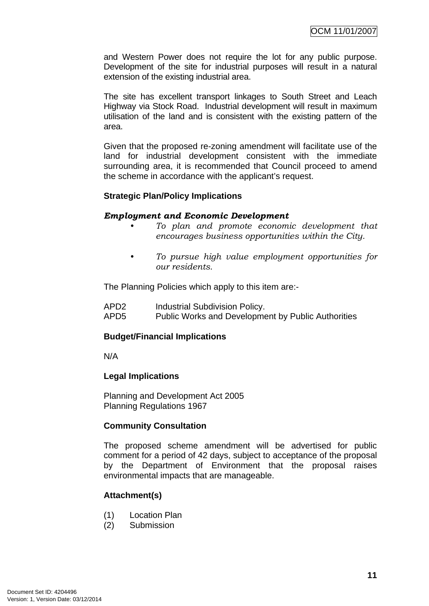and Western Power does not require the lot for any public purpose. Development of the site for industrial purposes will result in a natural extension of the existing industrial area.

The site has excellent transport linkages to South Street and Leach Highway via Stock Road. Industrial development will result in maximum utilisation of the land and is consistent with the existing pattern of the area.

Given that the proposed re-zoning amendment will facilitate use of the land for industrial development consistent with the immediate surrounding area, it is recommended that Council proceed to amend the scheme in accordance with the applicant's request.

#### **Strategic Plan/Policy Implications**

#### *Employment and Economic Development*

- *To plan and promote economic development that encourages business opportunities within the City.* 
	- *To pursue high value employment opportunities for our residents.*

The Planning Policies which apply to this item are:-

| APD <sub>2</sub> | <b>Industrial Subdivision Policy.</b>                     |
|------------------|-----------------------------------------------------------|
| APD <sub>5</sub> | <b>Public Works and Development by Public Authorities</b> |

#### **Budget/Financial Implications**

N/A

#### **Legal Implications**

Planning and Development Act 2005 Planning Regulations 1967

#### **Community Consultation**

The proposed scheme amendment will be advertised for public comment for a period of 42 days, subject to acceptance of the proposal by the Department of Environment that the proposal raises environmental impacts that are manageable.

#### **Attachment(s)**

- (1) Location Plan
- (2) Submission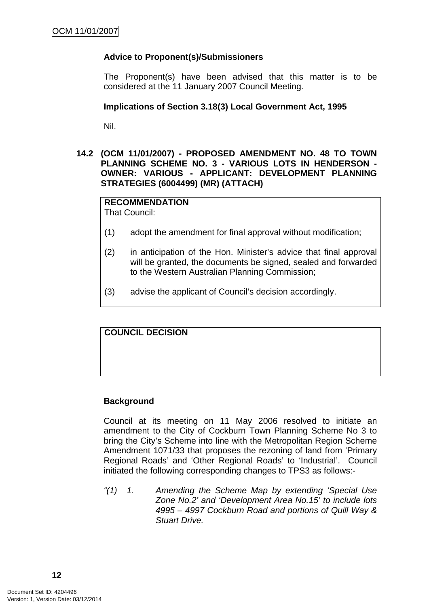# <span id="page-15-0"></span>**Advice to Proponent(s)/Submissioners**

The Proponent(s) have been advised that this matter is to be considered at the 11 January 2007 Council Meeting.

#### **Implications of Section 3.18(3) Local Government Act, 1995**

Nil.

#### **14.2 (OCM 11/01/2007) - PROPOSED AMENDMENT NO. 48 TO TOWN PLANNING SCHEME NO. 3 - VARIOUS LOTS IN HENDERSON - OWNER: VARIOUS - APPLICANT: DEVELOPMENT PLANNING STRATEGIES (6004499) (MR) (ATTACH)**

# **RECOMMENDATION**

That Council:

- (1) adopt the amendment for final approval without modification;
- (2) in anticipation of the Hon. Minister's advice that final approval will be granted, the documents be signed, sealed and forwarded to the Western Australian Planning Commission;
- (3) advise the applicant of Council's decision accordingly.

**COUNCIL DECISION**

#### **Background**

Council at its meeting on 11 May 2006 resolved to initiate an amendment to the City of Cockburn Town Planning Scheme No 3 to bring the City's Scheme into line with the Metropolitan Region Scheme Amendment 1071/33 that proposes the rezoning of land from 'Primary Regional Roads' and 'Other Regional Roads' to 'Industrial'. Council initiated the following corresponding changes to TPS3 as follows:-

*"(1) 1. Amending the Scheme Map by extending 'Special Use Zone No.2' and 'Development Area No.15' to include lots 4995 – 4997 Cockburn Road and portions of Quill Way & Stuart Drive.*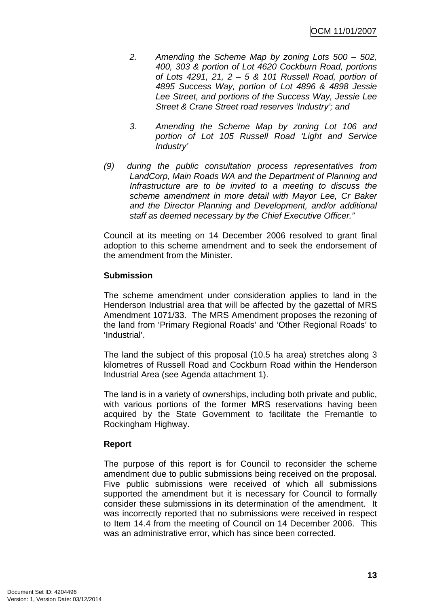- *2. Amending the Scheme Map by zoning Lots 500 502, 400, 303 & portion of Lot 4620 Cockburn Road, portions of Lots 4291, 21, 2 – 5 & 101 Russell Road, portion of 4895 Success Way, portion of Lot 4896 & 4898 Jessie Lee Street, and portions of the Success Way, Jessie Lee Street & Crane Street road reserves 'Industry'; and*
- *3. Amending the Scheme Map by zoning Lot 106 and portion of Lot 105 Russell Road 'Light and Service Industry'*
- *(9) during the public consultation process representatives from LandCorp, Main Roads WA and the Department of Planning and Infrastructure are to be invited to a meeting to discuss the scheme amendment in more detail with Mayor Lee, Cr Baker and the Director Planning and Development, and/or additional staff as deemed necessary by the Chief Executive Officer."*

Council at its meeting on 14 December 2006 resolved to grant final adoption to this scheme amendment and to seek the endorsement of the amendment from the Minister.

#### **Submission**

The scheme amendment under consideration applies to land in the Henderson Industrial area that will be affected by the gazettal of MRS Amendment 1071/33. The MRS Amendment proposes the rezoning of the land from 'Primary Regional Roads' and 'Other Regional Roads' to 'Industrial'.

The land the subject of this proposal (10.5 ha area) stretches along 3 kilometres of Russell Road and Cockburn Road within the Henderson Industrial Area (see Agenda attachment 1).

The land is in a variety of ownerships, including both private and public, with various portions of the former MRS reservations having been acquired by the State Government to facilitate the Fremantle to Rockingham Highway.

#### **Report**

The purpose of this report is for Council to reconsider the scheme amendment due to public submissions being received on the proposal. Five public submissions were received of which all submissions supported the amendment but it is necessary for Council to formally consider these submissions in its determination of the amendment. It was incorrectly reported that no submissions were received in respect to Item 14.4 from the meeting of Council on 14 December 2006. This was an administrative error, which has since been corrected.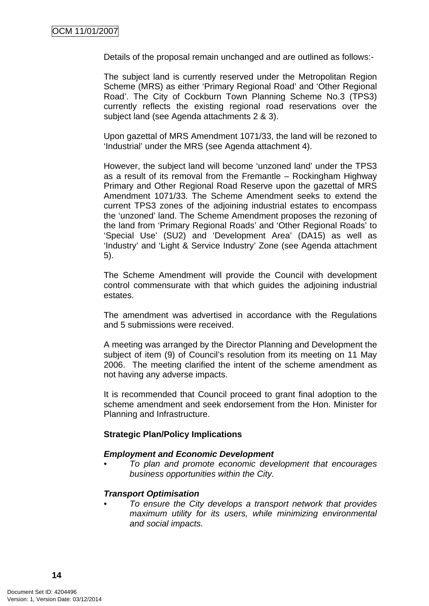Details of the proposal remain unchanged and are outlined as follows:-

The subject land is currently reserved under the Metropolitan Region Scheme (MRS) as either 'Primary Regional Road' and 'Other Regional Road'. The City of Cockburn Town Planning Scheme No.3 (TPS3) currently reflects the existing regional road reservations over the subject land (see Agenda attachments 2 & 3).

Upon gazettal of MRS Amendment 1071/33, the land will be rezoned to 'Industrial' under the MRS (see Agenda attachment 4).

However, the subject land will become 'unzoned land' under the TPS3 as a result of its removal from the Fremantle – Rockingham Highway Primary and Other Regional Road Reserve upon the gazettal of MRS Amendment 1071/33. The Scheme Amendment seeks to extend the current TPS3 zones of the adjoining industrial estates to encompass the 'unzoned' land. The Scheme Amendment proposes the rezoning of the land from 'Primary Regional Roads' and 'Other Regional Roads' to 'Special Use' (SU2) and 'Development Area' (DA15) as well as 'Industry' and 'Light & Service Industry' Zone (see Agenda attachment 5).

The Scheme Amendment will provide the Council with development control commensurate with that which guides the adjoining industrial estates.

The amendment was advertised in accordance with the Regulations and 5 submissions were received.

A meeting was arranged by the Director Planning and Development the subject of item (9) of Council's resolution from its meeting on 11 May 2006. The meeting clarified the intent of the scheme amendment as not having any adverse impacts.

It is recommended that Council proceed to grant final adoption to the scheme amendment and seek endorsement from the Hon. Minister for Planning and Infrastructure.

#### **Strategic Plan/Policy Implications**

#### *Employment and Economic Development*

*• To plan and promote economic development that encourages business opportunities within the City.* 

#### *Transport Optimisation*

*• To ensure the City develops a transport network that provides maximum utility for its users, while minimizing environmental and social impacts.*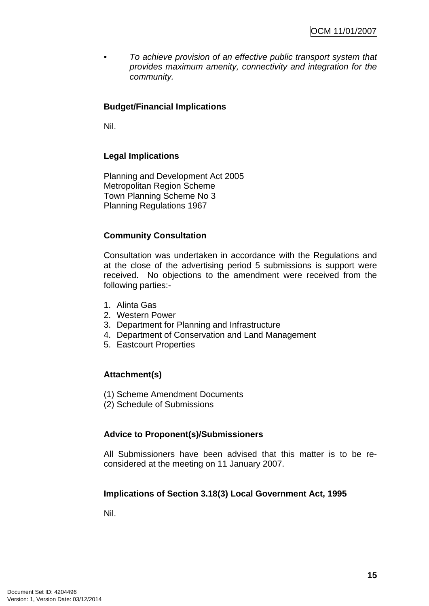*• To achieve provision of an effective public transport system that provides maximum amenity, connectivity and integration for the community.* 

# **Budget/Financial Implications**

Nil.

# **Legal Implications**

Planning and Development Act 2005 Metropolitan Region Scheme Town Planning Scheme No 3 Planning Regulations 1967

# **Community Consultation**

Consultation was undertaken in accordance with the Regulations and at the close of the advertising period 5 submissions is support were received. No objections to the amendment were received from the following parties:-

- 1. Alinta Gas
- 2. Western Power
- 3. Department for Planning and Infrastructure
- 4. Department of Conservation and Land Management
- 5. Eastcourt Properties

# **Attachment(s)**

- (1) Scheme Amendment Documents
- (2) Schedule of Submissions

# **Advice to Proponent(s)/Submissioners**

All Submissioners have been advised that this matter is to be reconsidered at the meeting on 11 January 2007.

# **Implications of Section 3.18(3) Local Government Act, 1995**

Nil.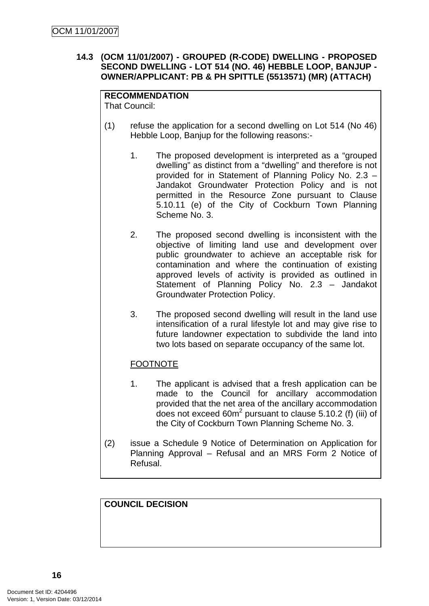# <span id="page-19-0"></span>**14.3 (OCM 11/01/2007) - GROUPED (R-CODE) DWELLING - PROPOSED SECOND DWELLING - LOT 514 (NO. 46) HEBBLE LOOP, BANJUP - OWNER/APPLICANT: PB & PH SPITTLE (5513571) (MR) (ATTACH)**

# **RECOMMENDATION**

That Council:

- (1) refuse the application for a second dwelling on Lot 514 (No 46) Hebble Loop, Banjup for the following reasons:-
	- 1. The proposed development is interpreted as a "grouped dwelling" as distinct from a "dwelling" and therefore is not provided for in Statement of Planning Policy No. 2.3 – Jandakot Groundwater Protection Policy and is not permitted in the Resource Zone pursuant to Clause 5.10.11 (e) of the City of Cockburn Town Planning Scheme No. 3.
	- 2. The proposed second dwelling is inconsistent with the objective of limiting land use and development over public groundwater to achieve an acceptable risk for contamination and where the continuation of existing approved levels of activity is provided as outlined in Statement of Planning Policy No. 2.3 – Jandakot Groundwater Protection Policy.
	- 3. The proposed second dwelling will result in the land use intensification of a rural lifestyle lot and may give rise to future landowner expectation to subdivide the land into two lots based on separate occupancy of the same lot.

# FOOTNOTE

- 1. The applicant is advised that a fresh application can be made to the Council for ancillary accommodation provided that the net area of the ancillary accommodation does not exceed  $60m^2$  pursuant to clause 5.10.2 (f) (iii) of the City of Cockburn Town Planning Scheme No. 3.
- (2) issue a Schedule 9 Notice of Determination on Application for Planning Approval – Refusal and an MRS Form 2 Notice of Refusal.

# **COUNCIL DECISION**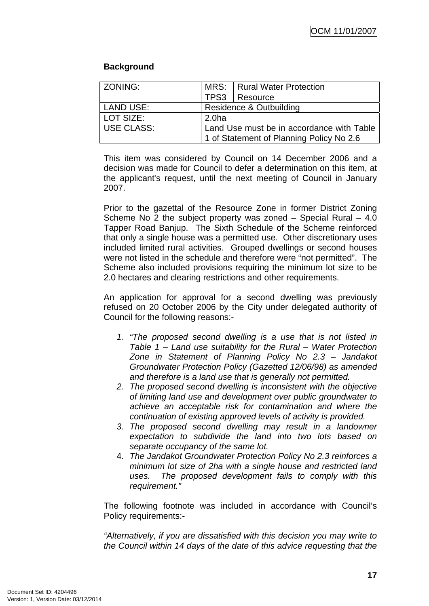# **Background**

| l ZONING:    |                         | MRS:   Rural Water Protection             |
|--------------|-------------------------|-------------------------------------------|
|              |                         | TPS3   Resource                           |
| LAND USE:    | Residence & Outbuilding |                                           |
| LOT SIZE:    | 2.0 <sub>ha</sub>       |                                           |
| l USE CLASS: |                         | Land Use must be in accordance with Table |
|              |                         | 1 of Statement of Planning Policy No 2.6  |

This item was considered by Council on 14 December 2006 and a decision was made for Council to defer a determination on this item, at the applicant's request, until the next meeting of Council in January 2007.

Prior to the gazettal of the Resource Zone in former District Zoning Scheme No 2 the subject property was zoned – Special Rural – 4.0 Tapper Road Banjup. The Sixth Schedule of the Scheme reinforced that only a single house was a permitted use. Other discretionary uses included limited rural activities. Grouped dwellings or second houses were not listed in the schedule and therefore were "not permitted". The Scheme also included provisions requiring the minimum lot size to be 2.0 hectares and clearing restrictions and other requirements.

An application for approval for a second dwelling was previously refused on 20 October 2006 by the City under delegated authority of Council for the following reasons:-

- *1. "The proposed second dwelling is a use that is not listed in Table 1 – Land use suitability for the Rural – Water Protection Zone in Statement of Planning Policy No 2.3 – Jandakot Groundwater Protection Policy (Gazetted 12/06/98) as amended and therefore is a land use that is generally not permitted.*
- *2. The proposed second dwelling is inconsistent with the objective of limiting land use and development over public groundwater to achieve an acceptable risk for contamination and where the continuation of existing approved levels of activity is provided.*
- *3. The proposed second dwelling may result in a landowner expectation to subdivide the land into two lots based on separate occupancy of the same lot.*
- 4. *The Jandakot Groundwater Protection Policy No 2.3 reinforces a minimum lot size of 2ha with a single house and restricted land uses. The proposed development fails to comply with this requirement."*

The following footnote was included in accordance with Council's Policy requirements:-

*"Alternatively, if you are dissatisfied with this decision you may write to the Council within 14 days of the date of this advice requesting that the*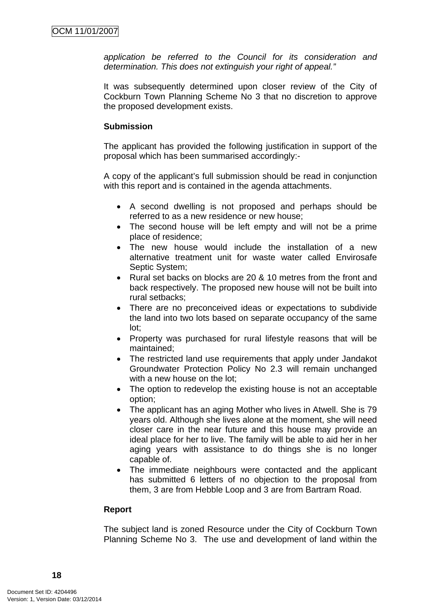*application be referred to the Council for its consideration and determination. This does not extinguish your right of appeal."* 

It was subsequently determined upon closer review of the City of Cockburn Town Planning Scheme No 3 that no discretion to approve the proposed development exists.

#### **Submission**

The applicant has provided the following justification in support of the proposal which has been summarised accordingly:-

A copy of the applicant's full submission should be read in conjunction with this report and is contained in the agenda attachments.

- A second dwelling is not proposed and perhaps should be referred to as a new residence or new house;
- The second house will be left empty and will not be a prime place of residence;
- The new house would include the installation of a new alternative treatment unit for waste water called Envirosafe Septic System;
- Rural set backs on blocks are 20 & 10 metres from the front and back respectively. The proposed new house will not be built into rural setbacks;
- There are no preconceived ideas or expectations to subdivide the land into two lots based on separate occupancy of the same lot;
- Property was purchased for rural lifestyle reasons that will be maintained;
- The restricted land use requirements that apply under Jandakot Groundwater Protection Policy No 2.3 will remain unchanged with a new house on the lot;
- The option to redevelop the existing house is not an acceptable option;
- The applicant has an aging Mother who lives in Atwell. She is 79 years old. Although she lives alone at the moment, she will need closer care in the near future and this house may provide an ideal place for her to live. The family will be able to aid her in her aging years with assistance to do things she is no longer capable of.
- The immediate neighbours were contacted and the applicant has submitted 6 letters of no objection to the proposal from them, 3 are from Hebble Loop and 3 are from Bartram Road.

#### **Report**

The subject land is zoned Resource under the City of Cockburn Town Planning Scheme No 3. The use and development of land within the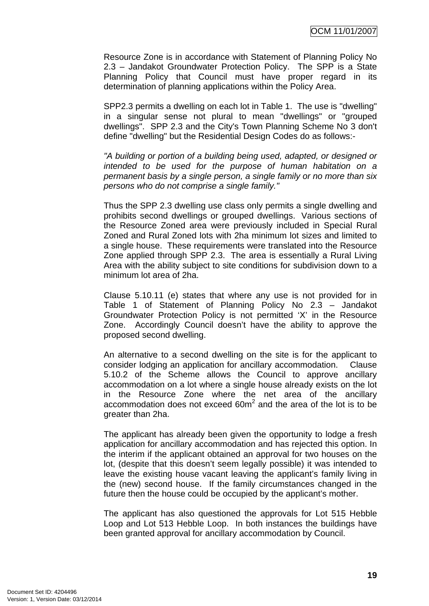Resource Zone is in accordance with Statement of Planning Policy No 2.3 – Jandakot Groundwater Protection Policy. The SPP is a State Planning Policy that Council must have proper regard in its determination of planning applications within the Policy Area.

SPP2.3 permits a dwelling on each lot in Table 1. The use is "dwelling" in a singular sense not plural to mean "dwellings" or "grouped dwellings". SPP 2.3 and the City's Town Planning Scheme No 3 don't define "dwelling" but the Residential Design Codes do as follows:-

*"A building or portion of a building being used, adapted, or designed or intended to be used for the purpose of human habitation on a permanent basis by a single person, a single family or no more than six persons who do not comprise a single family."* 

Thus the SPP 2.3 dwelling use class only permits a single dwelling and prohibits second dwellings or grouped dwellings. Various sections of the Resource Zoned area were previously included in Special Rural Zoned and Rural Zoned lots with 2ha minimum lot sizes and limited to a single house. These requirements were translated into the Resource Zone applied through SPP 2.3. The area is essentially a Rural Living Area with the ability subject to site conditions for subdivision down to a minimum lot area of 2ha.

Clause 5.10.11 (e) states that where any use is not provided for in Table 1 of Statement of Planning Policy No 2.3 – Jandakot Groundwater Protection Policy is not permitted 'X' in the Resource Zone. Accordingly Council doesn't have the ability to approve the proposed second dwelling.

An alternative to a second dwelling on the site is for the applicant to consider lodging an application for ancillary accommodation. Clause 5.10.2 of the Scheme allows the Council to approve ancillary accommodation on a lot where a single house already exists on the lot in the Resource Zone where the net area of the ancillary accommodation does not exceed  $60m^2$  and the area of the lot is to be greater than 2ha.

The applicant has already been given the opportunity to lodge a fresh application for ancillary accommodation and has rejected this option. In the interim if the applicant obtained an approval for two houses on the lot, (despite that this doesn't seem legally possible) it was intended to leave the existing house vacant leaving the applicant's family living in the (new) second house. If the family circumstances changed in the future then the house could be occupied by the applicant's mother.

The applicant has also questioned the approvals for Lot 515 Hebble Loop and Lot 513 Hebble Loop. In both instances the buildings have been granted approval for ancillary accommodation by Council.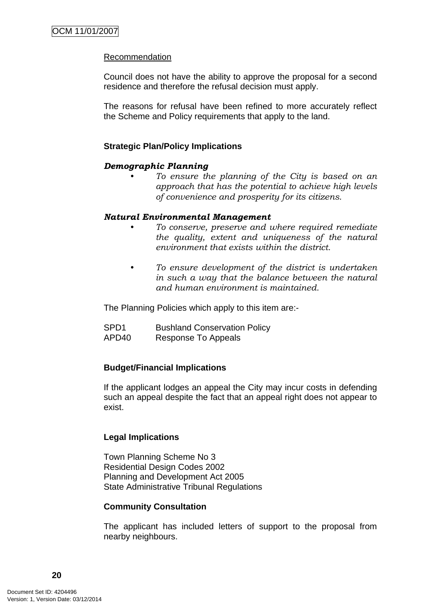#### Recommendation

Council does not have the ability to approve the proposal for a second residence and therefore the refusal decision must apply.

The reasons for refusal have been refined to more accurately reflect the Scheme and Policy requirements that apply to the land.

#### **Strategic Plan/Policy Implications**

#### *Demographic Planning*

*• To ensure the planning of the City is based on an approach that has the potential to achieve high levels of convenience and prosperity for its citizens.* 

#### *Natural Environmental Management*

- *To conserve, preserve and where required remediate the quality, extent and uniqueness of the natural environment that exists within the district.*
- *To ensure development of the district is undertaken in such a way that the balance between the natural and human environment is maintained.*

The Planning Policies which apply to this item are:-

| SPD <sub>1</sub> | <b>Bushland Conservation Policy</b> |
|------------------|-------------------------------------|
| APD40            | Response To Appeals                 |

#### **Budget/Financial Implications**

If the applicant lodges an appeal the City may incur costs in defending such an appeal despite the fact that an appeal right does not appear to exist.

#### **Legal Implications**

Town Planning Scheme No 3 Residential Design Codes 2002 Planning and Development Act 2005 State Administrative Tribunal Regulations

#### **Community Consultation**

The applicant has included letters of support to the proposal from nearby neighbours.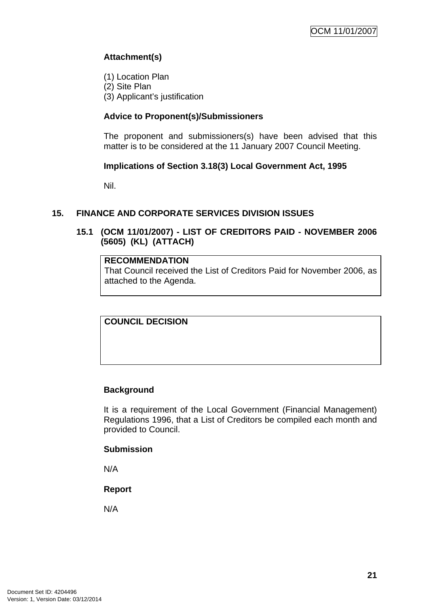# <span id="page-24-0"></span>**Attachment(s)**

- (1) Location Plan
- (2) Site Plan
- (3) Applicant's justification

# **Advice to Proponent(s)/Submissioners**

The proponent and submissioners(s) have been advised that this matter is to be considered at the 11 January 2007 Council Meeting.

# **Implications of Section 3.18(3) Local Government Act, 1995**

Nil.

# **15. FINANCE AND CORPORATE SERVICES DIVISION ISSUES**

# **15.1 (OCM 11/01/2007) - LIST OF CREDITORS PAID - NOVEMBER 2006 (5605) (KL) (ATTACH)**

#### **RECOMMENDATION**

That Council received the List of Creditors Paid for November 2006, as attached to the Agenda.

**COUNCIL DECISION**

# **Background**

It is a requirement of the Local Government (Financial Management) Regulations 1996, that a List of Creditors be compiled each month and provided to Council.

#### **Submission**

N/A

**Report**

N/A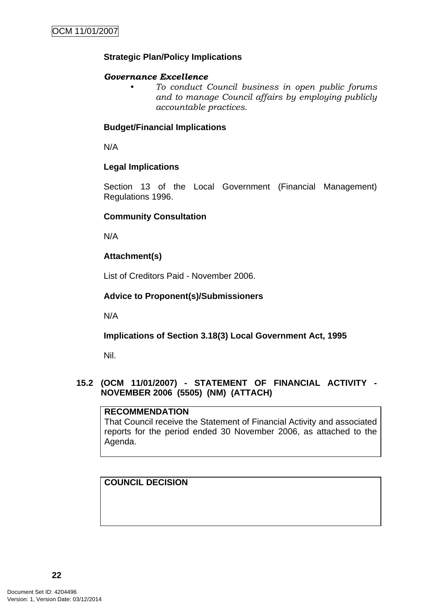# <span id="page-25-0"></span>**Strategic Plan/Policy Implications**

#### *Governance Excellence*

*• To conduct Council business in open public forums and to manage Council affairs by employing publicly accountable practices.* 

#### **Budget/Financial Implications**

N/A

#### **Legal Implications**

Section 13 of the Local Government (Financial Management) Regulations 1996.

#### **Community Consultation**

N/A

#### **Attachment(s)**

List of Creditors Paid - November 2006.

#### **Advice to Proponent(s)/Submissioners**

N/A

#### **Implications of Section 3.18(3) Local Government Act, 1995**

Nil.

#### **15.2 (OCM 11/01/2007) - STATEMENT OF FINANCIAL ACTIVITY - NOVEMBER 2006 (5505) (NM) (ATTACH)**

#### **RECOMMENDATION**

That Council receive the Statement of Financial Activity and associated reports for the period ended 30 November 2006, as attached to the Agenda.

#### **COUNCIL DECISION**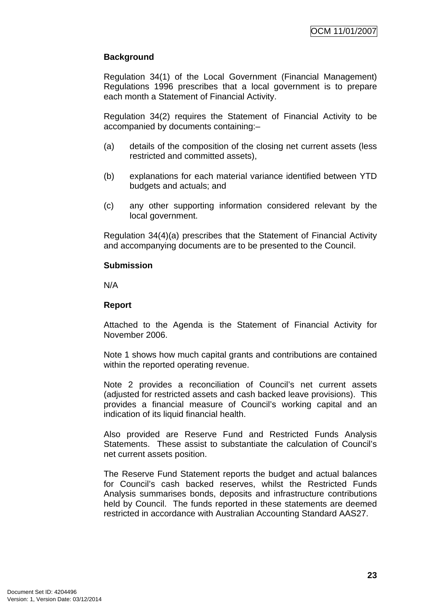# **Background**

Regulation 34(1) of the Local Government (Financial Management) Regulations 1996 prescribes that a local government is to prepare each month a Statement of Financial Activity.

Regulation 34(2) requires the Statement of Financial Activity to be accompanied by documents containing:–

- (a) details of the composition of the closing net current assets (less restricted and committed assets),
- (b) explanations for each material variance identified between YTD budgets and actuals; and
- (c) any other supporting information considered relevant by the local government.

Regulation 34(4)(a) prescribes that the Statement of Financial Activity and accompanying documents are to be presented to the Council.

#### **Submission**

N/A

#### **Report**

Attached to the Agenda is the Statement of Financial Activity for November 2006.

Note 1 shows how much capital grants and contributions are contained within the reported operating revenue.

Note 2 provides a reconciliation of Council's net current assets (adjusted for restricted assets and cash backed leave provisions). This provides a financial measure of Council's working capital and an indication of its liquid financial health.

Also provided are Reserve Fund and Restricted Funds Analysis Statements. These assist to substantiate the calculation of Council's net current assets position.

The Reserve Fund Statement reports the budget and actual balances for Council's cash backed reserves, whilst the Restricted Funds Analysis summarises bonds, deposits and infrastructure contributions held by Council. The funds reported in these statements are deemed restricted in accordance with Australian Accounting Standard AAS27.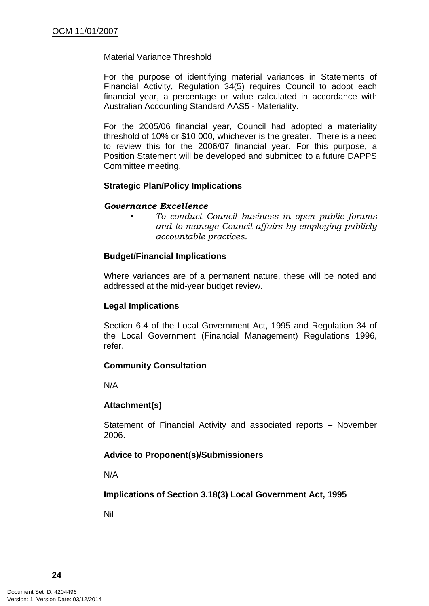#### Material Variance Threshold

For the purpose of identifying material variances in Statements of Financial Activity, Regulation 34(5) requires Council to adopt each financial year, a percentage or value calculated in accordance with Australian Accounting Standard AAS5 - Materiality.

For the 2005/06 financial year, Council had adopted a materiality threshold of 10% or \$10,000, whichever is the greater. There is a need to review this for the 2006/07 financial year. For this purpose, a Position Statement will be developed and submitted to a future DAPPS Committee meeting.

#### **Strategic Plan/Policy Implications**

#### *Governance Excellence*

*• To conduct Council business in open public forums and to manage Council affairs by employing publicly accountable practices.* 

#### **Budget/Financial Implications**

Where variances are of a permanent nature, these will be noted and addressed at the mid-year budget review.

#### **Legal Implications**

Section 6.4 of the Local Government Act, 1995 and Regulation 34 of the Local Government (Financial Management) Regulations 1996, refer.

#### **Community Consultation**

N/A

#### **Attachment(s)**

Statement of Financial Activity and associated reports – November 2006.

#### **Advice to Proponent(s)/Submissioners**

N/A

**Implications of Section 3.18(3) Local Government Act, 1995**

Nil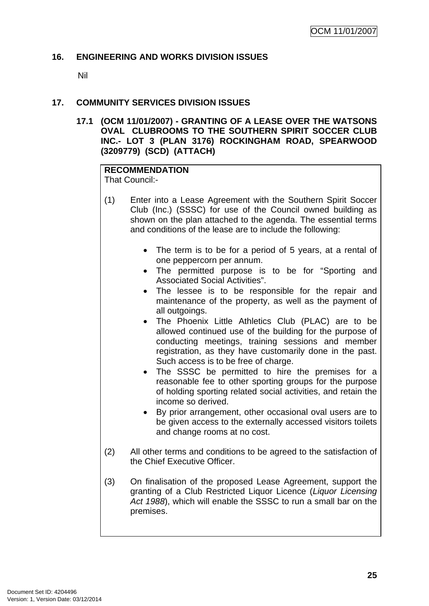# <span id="page-28-0"></span>**16. ENGINEERING AND WORKS DIVISION ISSUES**

Nil

#### **17. COMMUNITY SERVICES DIVISION ISSUES**

**17.1 (OCM 11/01/2007) - GRANTING OF A LEASE OVER THE WATSONS OVAL CLUBROOMS TO THE SOUTHERN SPIRIT SOCCER CLUB INC.- LOT 3 (PLAN 3176) ROCKINGHAM ROAD, SPEARWOOD (3209779) (SCD) (ATTACH)** 

# **RECOMMENDATION**

That Council:-

- (1) Enter into a Lease Agreement with the Southern Spirit Soccer Club (Inc.) (SSSC) for use of the Council owned building as shown on the plan attached to the agenda. The essential terms and conditions of the lease are to include the following:
	- The term is to be for a period of 5 years, at a rental of one peppercorn per annum.
	- The permitted purpose is to be for "Sporting and Associated Social Activities".
	- The lessee is to be responsible for the repair and maintenance of the property, as well as the payment of all outgoings.
	- The Phoenix Little Athletics Club (PLAC) are to be allowed continued use of the building for the purpose of conducting meetings, training sessions and member registration, as they have customarily done in the past. Such access is to be free of charge.
	- The SSSC be permitted to hire the premises for a reasonable fee to other sporting groups for the purpose of holding sporting related social activities, and retain the income so derived.
	- By prior arrangement, other occasional oval users are to be given access to the externally accessed visitors toilets and change rooms at no cost.
- (2) All other terms and conditions to be agreed to the satisfaction of the Chief Executive Officer.
- (3) On finalisation of the proposed Lease Agreement, support the granting of a Club Restricted Liquor Licence (*Liquor Licensing Act 1988*), which will enable the SSSC to run a small bar on the premises.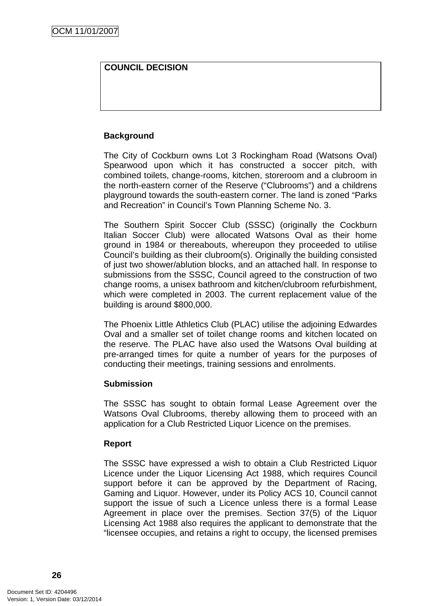# **COUNCIL DECISION**

# **Background**

The City of Cockburn owns Lot 3 Rockingham Road (Watsons Oval) Spearwood upon which it has constructed a soccer pitch, with combined toilets, change-rooms, kitchen, storeroom and a clubroom in the north-eastern corner of the Reserve ("Clubrooms") and a childrens playground towards the south-eastern corner. The land is zoned "Parks and Recreation" in Council's Town Planning Scheme No. 3.

The Southern Spirit Soccer Club (SSSC) (originally the Cockburn Italian Soccer Club) were allocated Watsons Oval as their home ground in 1984 or thereabouts, whereupon they proceeded to utilise Council's building as their clubroom(s). Originally the building consisted of just two shower/ablution blocks, and an attached hall. In response to submissions from the SSSC, Council agreed to the construction of two change rooms, a unisex bathroom and kitchen/clubroom refurbishment, which were completed in 2003. The current replacement value of the building is around \$800,000.

The Phoenix Little Athletics Club (PLAC) utilise the adjoining Edwardes Oval and a smaller set of toilet change rooms and kitchen located on the reserve. The PLAC have also used the Watsons Oval building at pre-arranged times for quite a number of years for the purposes of conducting their meetings, training sessions and enrolments.

#### **Submission**

The SSSC has sought to obtain formal Lease Agreement over the Watsons Oval Clubrooms, thereby allowing them to proceed with an application for a Club Restricted Liquor Licence on the premises.

#### **Report**

The SSSC have expressed a wish to obtain a Club Restricted Liquor Licence under the Liquor Licensing Act 1988, which requires Council support before it can be approved by the Department of Racing, Gaming and Liquor. However, under its Policy ACS 10, Council cannot support the issue of such a Licence unless there is a formal Lease Agreement in place over the premises. Section 37(5) of the Liquor Licensing Act 1988 also requires the applicant to demonstrate that the "licensee occupies, and retains a right to occupy, the licensed premises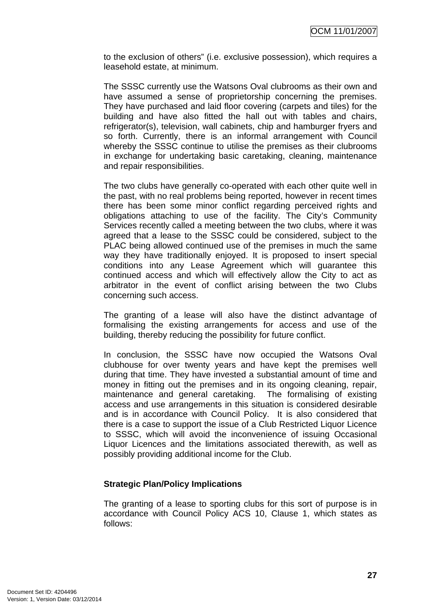to the exclusion of others" (i.e. exclusive possession), which requires a leasehold estate, at minimum.

The SSSC currently use the Watsons Oval clubrooms as their own and have assumed a sense of proprietorship concerning the premises. They have purchased and laid floor covering (carpets and tiles) for the building and have also fitted the hall out with tables and chairs, refrigerator(s), television, wall cabinets, chip and hamburger fryers and so forth. Currently, there is an informal arrangement with Council whereby the SSSC continue to utilise the premises as their clubrooms in exchange for undertaking basic caretaking, cleaning, maintenance and repair responsibilities.

The two clubs have generally co-operated with each other quite well in the past, with no real problems being reported, however in recent times there has been some minor conflict regarding perceived rights and obligations attaching to use of the facility. The City's Community Services recently called a meeting between the two clubs, where it was agreed that a lease to the SSSC could be considered, subject to the PLAC being allowed continued use of the premises in much the same way they have traditionally enjoyed. It is proposed to insert special conditions into any Lease Agreement which will guarantee this continued access and which will effectively allow the City to act as arbitrator in the event of conflict arising between the two Clubs concerning such access.

The granting of a lease will also have the distinct advantage of formalising the existing arrangements for access and use of the building, thereby reducing the possibility for future conflict.

In conclusion, the SSSC have now occupied the Watsons Oval clubhouse for over twenty years and have kept the premises well during that time. They have invested a substantial amount of time and money in fitting out the premises and in its ongoing cleaning, repair, maintenance and general caretaking. The formalising of existing access and use arrangements in this situation is considered desirable and is in accordance with Council Policy. It is also considered that there is a case to support the issue of a Club Restricted Liquor Licence to SSSC, which will avoid the inconvenience of issuing Occasional Liquor Licences and the limitations associated therewith, as well as possibly providing additional income for the Club.

#### **Strategic Plan/Policy Implications**

The granting of a lease to sporting clubs for this sort of purpose is in accordance with Council Policy ACS 10, Clause 1, which states as follows: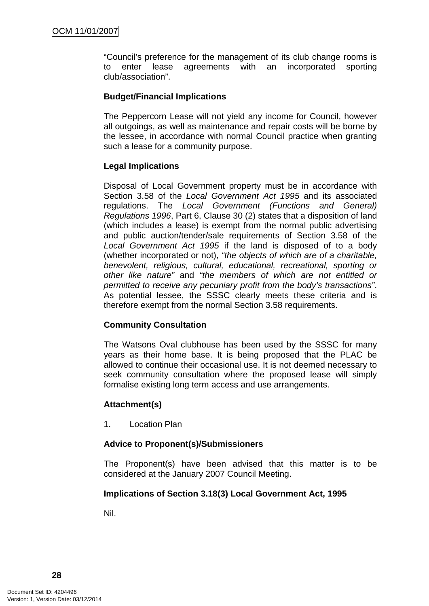"Council's preference for the management of its club change rooms is to enter lease agreements with an incorporated sporting club/association".

# **Budget/Financial Implications**

The Peppercorn Lease will not yield any income for Council, however all outgoings, as well as maintenance and repair costs will be borne by the lessee, in accordance with normal Council practice when granting such a lease for a community purpose.

#### **Legal Implications**

Disposal of Local Government property must be in accordance with Section 3.58 of the *Local Government Act 1995* and its associated regulations. The *Local Government (Functions and General) Regulations 1996*, Part 6, Clause 30 (2) states that a disposition of land (which includes a lease) is exempt from the normal public advertising and public auction/tender/sale requirements of Section 3.58 of the *Local Government Act 1995* if the land is disposed of to a body (whether incorporated or not), *"the objects of which are of a charitable, benevolent, religious, cultural, educational, recreational, sporting or other like nature"* and *"the members of which are not entitled or permitted to receive any pecuniary profit from the body's transactions"*. As potential lessee, the SSSC clearly meets these criteria and is therefore exempt from the normal Section 3.58 requirements.

# **Community Consultation**

The Watsons Oval clubhouse has been used by the SSSC for many years as their home base. It is being proposed that the PLAC be allowed to continue their occasional use. It is not deemed necessary to seek community consultation where the proposed lease will simply formalise existing long term access and use arrangements.

#### **Attachment(s)**

1. Location Plan

#### **Advice to Proponent(s)/Submissioners**

The Proponent(s) have been advised that this matter is to be considered at the January 2007 Council Meeting.

#### **Implications of Section 3.18(3) Local Government Act, 1995**

Nil.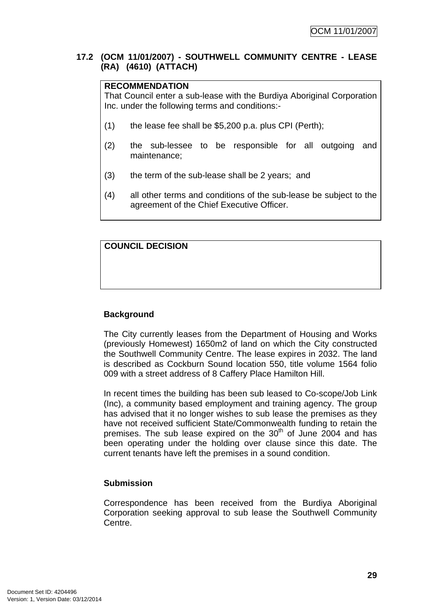# <span id="page-32-0"></span>**17.2 (OCM 11/01/2007) - SOUTHWELL COMMUNITY CENTRE - LEASE (RA) (4610) (ATTACH)**

#### **RECOMMENDATION**

That Council enter a sub-lease with the Burdiya Aboriginal Corporation Inc. under the following terms and conditions:-

- (1) the lease fee shall be \$5,200 p.a. plus CPI (Perth);
- (2) the sub-lessee to be responsible for all outgoing and maintenance;
- (3) the term of the sub-lease shall be 2 years; and
- (4) all other terms and conditions of the sub-lease be subject to the agreement of the Chief Executive Officer.

#### **COUNCIL DECISION**

#### **Background**

The City currently leases from the Department of Housing and Works (previously Homewest) 1650m2 of land on which the City constructed the Southwell Community Centre. The lease expires in 2032. The land is described as Cockburn Sound location 550, title volume 1564 folio 009 with a street address of 8 Caffery Place Hamilton Hill.

In recent times the building has been sub leased to Co-scope/Job Link (Inc), a community based employment and training agency. The group has advised that it no longer wishes to sub lease the premises as they have not received sufficient State/Commonwealth funding to retain the premises. The sub lease expired on the  $30<sup>th</sup>$  of June 2004 and has been operating under the holding over clause since this date. The current tenants have left the premises in a sound condition.

#### **Submission**

Correspondence has been received from the Burdiya Aboriginal Corporation seeking approval to sub lease the Southwell Community Centre.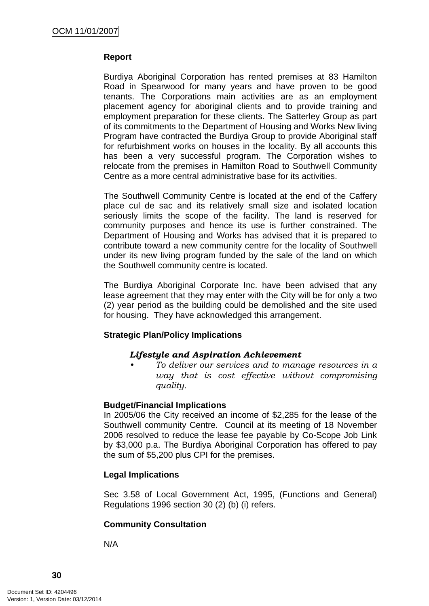#### **Report**

Burdiya Aboriginal Corporation has rented premises at 83 Hamilton Road in Spearwood for many years and have proven to be good tenants. The Corporations main activities are as an employment placement agency for aboriginal clients and to provide training and employment preparation for these clients. The Satterley Group as part of its commitments to the Department of Housing and Works New living Program have contracted the Burdiya Group to provide Aboriginal staff for refurbishment works on houses in the locality. By all accounts this has been a very successful program. The Corporation wishes to relocate from the premises in Hamilton Road to Southwell Community Centre as a more central administrative base for its activities.

The Southwell Community Centre is located at the end of the Caffery place cul de sac and its relatively small size and isolated location seriously limits the scope of the facility. The land is reserved for community purposes and hence its use is further constrained. The Department of Housing and Works has advised that it is prepared to contribute toward a new community centre for the locality of Southwell under its new living program funded by the sale of the land on which the Southwell community centre is located.

The Burdiya Aboriginal Corporate Inc. have been advised that any lease agreement that they may enter with the City will be for only a two (2) year period as the building could be demolished and the site used for housing. They have acknowledged this arrangement.

#### **Strategic Plan/Policy Implications**

#### *Lifestyle and Aspiration Achievement*

*• To deliver our services and to manage resources in a way that is cost effective without compromising quality.* 

#### **Budget/Financial Implications**

In 2005/06 the City received an income of \$2,285 for the lease of the Southwell community Centre. Council at its meeting of 18 November 2006 resolved to reduce the lease fee payable by Co-Scope Job Link by \$3,000 p.a. The Burdiya Aboriginal Corporation has offered to pay the sum of \$5,200 plus CPI for the premises.

#### **Legal Implications**

Sec 3.58 of Local Government Act, 1995, (Functions and General) Regulations 1996 section 30 (2) (b) (i) refers.

#### **Community Consultation**

N/A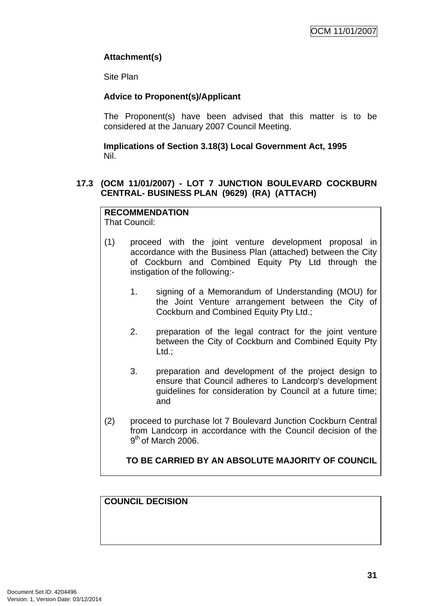# <span id="page-34-0"></span>**Attachment(s)**

Site Plan

# **Advice to Proponent(s)/Applicant**

The Proponent(s) have been advised that this matter is to be considered at the January 2007 Council Meeting.

**Implications of Section 3.18(3) Local Government Act, 1995** Nil.

# **17.3 (OCM 11/01/2007) - LOT 7 JUNCTION BOULEVARD COCKBURN CENTRAL- BUSINESS PLAN (9629) (RA) (ATTACH)**

# **RECOMMENDATION**

That Council:

- (1) proceed with the joint venture development proposal in accordance with the Business Plan (attached) between the City of Cockburn and Combined Equity Pty Ltd through the instigation of the following:-
	- 1. signing of a Memorandum of Understanding (MOU) for the Joint Venture arrangement between the City of Cockburn and Combined Equity Pty Ltd.;
	- 2. preparation of the legal contract for the joint venture between the City of Cockburn and Combined Equity Pty Ltd.:
	- 3. preparation and development of the project design to ensure that Council adheres to Landcorp's development guidelines for consideration by Council at a future time; and
- (2) proceed to purchase lot 7 Boulevard Junction Cockburn Central from Landcorp in accordance with the Council decision of the  $9<sup>th</sup>$  of March 2006.

**TO BE CARRIED BY AN ABSOLUTE MAJORITY OF COUNCIL**

# **COUNCIL DECISION**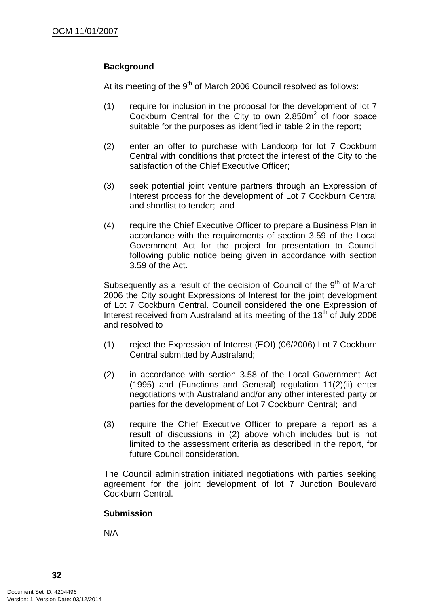# **Background**

At its meeting of the  $9<sup>th</sup>$  of March 2006 Council resolved as follows:

- (1) require for inclusion in the proposal for the development of lot 7 Cockburn Central for the City to own  $2,850m^2$  of floor space suitable for the purposes as identified in table 2 in the report;
- (2) enter an offer to purchase with Landcorp for lot 7 Cockburn Central with conditions that protect the interest of the City to the satisfaction of the Chief Executive Officer:
- (3) seek potential joint venture partners through an Expression of Interest process for the development of Lot 7 Cockburn Central and shortlist to tender; and
- (4) require the Chief Executive Officer to prepare a Business Plan in accordance with the requirements of section 3.59 of the Local Government Act for the project for presentation to Council following public notice being given in accordance with section 3.59 of the Act.

Subsequently as a result of the decision of Council of the  $9<sup>th</sup>$  of March 2006 the City sought Expressions of Interest for the joint development of Lot 7 Cockburn Central. Council considered the one Expression of Interest received from Australand at its meeting of the  $13<sup>th</sup>$  of July 2006 and resolved to

- (1) reject the Expression of Interest (EOI) (06/2006) Lot 7 Cockburn Central submitted by Australand;
- (2) in accordance with section 3.58 of the Local Government Act (1995) and (Functions and General) regulation 11(2)(ii) enter negotiations with Australand and/or any other interested party or parties for the development of Lot 7 Cockburn Central; and
- (3) require the Chief Executive Officer to prepare a report as a result of discussions in (2) above which includes but is not limited to the assessment criteria as described in the report, for future Council consideration.

The Council administration initiated negotiations with parties seeking agreement for the joint development of lot 7 Junction Boulevard Cockburn Central.

#### **Submission**

N/A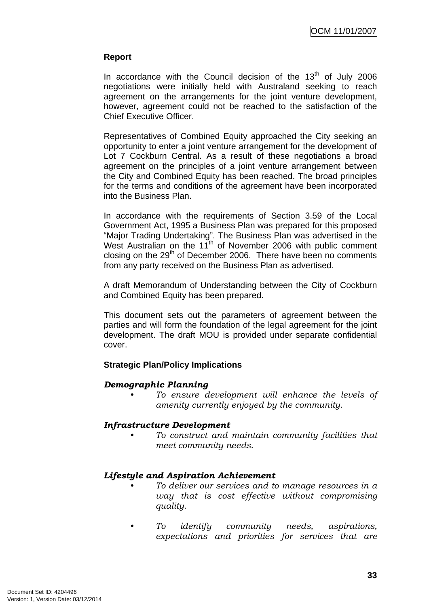#### **Report**

In accordance with the Council decision of the  $13<sup>th</sup>$  of July 2006 negotiations were initially held with Australand seeking to reach agreement on the arrangements for the joint venture development, however, agreement could not be reached to the satisfaction of the Chief Executive Officer.

Representatives of Combined Equity approached the City seeking an opportunity to enter a joint venture arrangement for the development of Lot 7 Cockburn Central. As a result of these negotiations a broad agreement on the principles of a joint venture arrangement between the City and Combined Equity has been reached. The broad principles for the terms and conditions of the agreement have been incorporated into the Business Plan.

In accordance with the requirements of Section 3.59 of the Local Government Act, 1995 a Business Plan was prepared for this proposed "Major Trading Undertaking". The Business Plan was advertised in the West Australian on the 11<sup>th</sup> of November 2006 with public comment closing on the  $29<sup>th</sup>$  of December 2006. There have been no comments from any party received on the Business Plan as advertised.

A draft Memorandum of Understanding between the City of Cockburn and Combined Equity has been prepared.

This document sets out the parameters of agreement between the parties and will form the foundation of the legal agreement for the joint development. The draft MOU is provided under separate confidential cover.

# **Strategic Plan/Policy Implications**

#### *Demographic Planning*

*• To ensure development will enhance the levels of amenity currently enjoyed by the community.*

#### *Infrastructure Development*

*• To construct and maintain community facilities that meet community needs.* 

#### *Lifestyle and Aspiration Achievement*

- *To deliver our services and to manage resources in a way that is cost effective without compromising quality.*
- *To identify community needs, aspirations, expectations and priorities for services that are*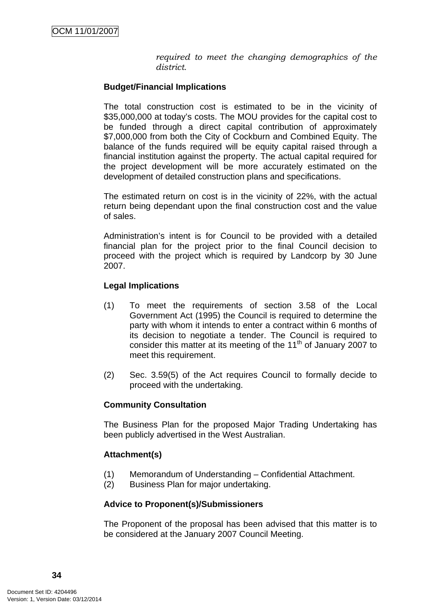*required to meet the changing demographics of the district.* 

#### **Budget/Financial Implications**

The total construction cost is estimated to be in the vicinity of \$35,000,000 at today's costs. The MOU provides for the capital cost to be funded through a direct capital contribution of approximately \$7,000,000 from both the City of Cockburn and Combined Equity. The balance of the funds required will be equity capital raised through a financial institution against the property. The actual capital required for the project development will be more accurately estimated on the development of detailed construction plans and specifications.

The estimated return on cost is in the vicinity of 22%, with the actual return being dependant upon the final construction cost and the value of sales.

Administration's intent is for Council to be provided with a detailed financial plan for the project prior to the final Council decision to proceed with the project which is required by Landcorp by 30 June 2007.

# **Legal Implications**

- (1) To meet the requirements of section 3.58 of the Local Government Act (1995) the Council is required to determine the party with whom it intends to enter a contract within 6 months of its decision to negotiate a tender. The Council is required to consider this matter at its meeting of the  $11<sup>th</sup>$  of January 2007 to meet this requirement.
- (2) Sec. 3.59(5) of the Act requires Council to formally decide to proceed with the undertaking.

#### **Community Consultation**

The Business Plan for the proposed Major Trading Undertaking has been publicly advertised in the West Australian.

#### **Attachment(s)**

- (1) Memorandum of Understanding Confidential Attachment.
- (2) Business Plan for major undertaking.

#### **Advice to Proponent(s)/Submissioners**

The Proponent of the proposal has been advised that this matter is to be considered at the January 2007 Council Meeting.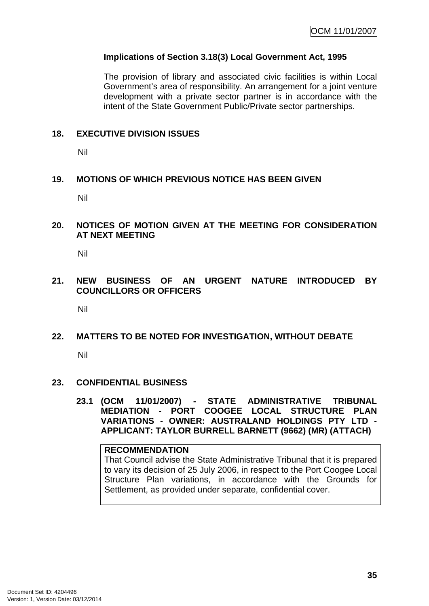# <span id="page-38-0"></span>**Implications of Section 3.18(3) Local Government Act, 1995**

The provision of library and associated civic facilities is within Local Government's area of responsibility. An arrangement for a joint venture development with a private sector partner is in accordance with the intent of the State Government Public/Private sector partnerships.

#### **18. EXECUTIVE DIVISION ISSUES**

Nil

#### **19. MOTIONS OF WHICH PREVIOUS NOTICE HAS BEEN GIVEN**

Nil

#### **20. NOTICES OF MOTION GIVEN AT THE MEETING FOR CONSIDERATION AT NEXT MEETING**

Nil

#### **21. NEW BUSINESS OF AN URGENT NATURE INTRODUCED BY COUNCILLORS OR OFFICERS**

Nil

#### **22. MATTERS TO BE NOTED FOR INVESTIGATION, WITHOUT DEBATE**

Nil

#### **23. CONFIDENTIAL BUSINESS**

#### **23.1 (OCM 11/01/2007) - STATE ADMINISTRATIVE TRIBUNAL MEDIATION - PORT COOGEE LOCAL STRUCTURE PLAN VARIATIONS - OWNER: AUSTRALAND HOLDINGS PTY LTD - APPLICANT: TAYLOR BURRELL BARNETT (9662) (MR) (ATTACH)**

#### **RECOMMENDATION**

That Council advise the State Administrative Tribunal that it is prepared to vary its decision of 25 July 2006, in respect to the Port Coogee Local Structure Plan variations, in accordance with the Grounds for Settlement, as provided under separate, confidential cover.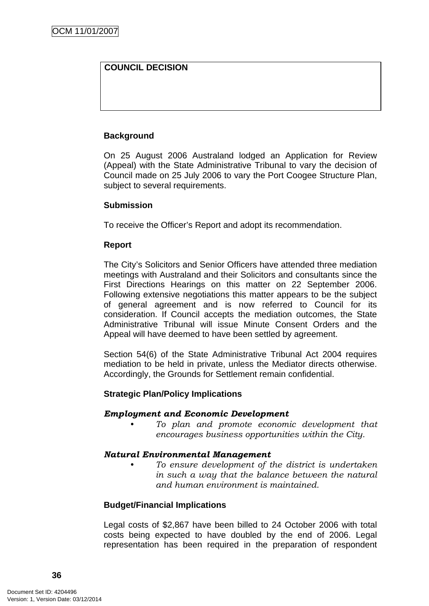# **COUNCIL DECISION**

# **Background**

On 25 August 2006 Australand lodged an Application for Review (Appeal) with the State Administrative Tribunal to vary the decision of Council made on 25 July 2006 to vary the Port Coogee Structure Plan, subject to several requirements.

#### **Submission**

To receive the Officer's Report and adopt its recommendation.

#### **Report**

The City's Solicitors and Senior Officers have attended three mediation meetings with Australand and their Solicitors and consultants since the First Directions Hearings on this matter on 22 September 2006. Following extensive negotiations this matter appears to be the subject of general agreement and is now referred to Council for its consideration. If Council accepts the mediation outcomes, the State Administrative Tribunal will issue Minute Consent Orders and the Appeal will have deemed to have been settled by agreement.

Section 54(6) of the State Administrative Tribunal Act 2004 requires mediation to be held in private, unless the Mediator directs otherwise. Accordingly, the Grounds for Settlement remain confidential.

#### **Strategic Plan/Policy Implications**

#### *Employment and Economic Development*

*• To plan and promote economic development that encourages business opportunities within the City.* 

#### *Natural Environmental Management*

*• To ensure development of the district is undertaken in such a way that the balance between the natural and human environment is maintained.* 

#### **Budget/Financial Implications**

Legal costs of \$2,867 have been billed to 24 October 2006 with total costs being expected to have doubled by the end of 2006. Legal representation has been required in the preparation of respondent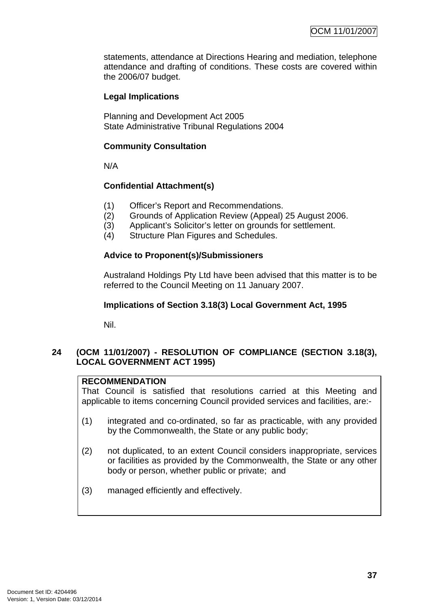<span id="page-40-0"></span>statements, attendance at Directions Hearing and mediation, telephone attendance and drafting of conditions. These costs are covered within the 2006/07 budget.

# **Legal Implications**

Planning and Development Act 2005 State Administrative Tribunal Regulations 2004

# **Community Consultation**

N/A

# **Confidential Attachment(s)**

- (1) Officer's Report and Recommendations.
- (2) Grounds of Application Review (Appeal) 25 August 2006.
- (3) Applicant's Solicitor's letter on grounds for settlement.
- (4) Structure Plan Figures and Schedules.

# **Advice to Proponent(s)/Submissioners**

Australand Holdings Pty Ltd have been advised that this matter is to be referred to the Council Meeting on 11 January 2007.

# **Implications of Section 3.18(3) Local Government Act, 1995**

Nil.

# **24 (OCM 11/01/2007) - RESOLUTION OF COMPLIANCE (SECTION 3.18(3), LOCAL GOVERNMENT ACT 1995)**

#### **RECOMMENDATION**

That Council is satisfied that resolutions carried at this Meeting and applicable to items concerning Council provided services and facilities, are:-

- (1) integrated and co-ordinated, so far as practicable, with any provided by the Commonwealth, the State or any public body;
- (2) not duplicated, to an extent Council considers inappropriate, services or facilities as provided by the Commonwealth, the State or any other body or person, whether public or private; and
- (3) managed efficiently and effectively.